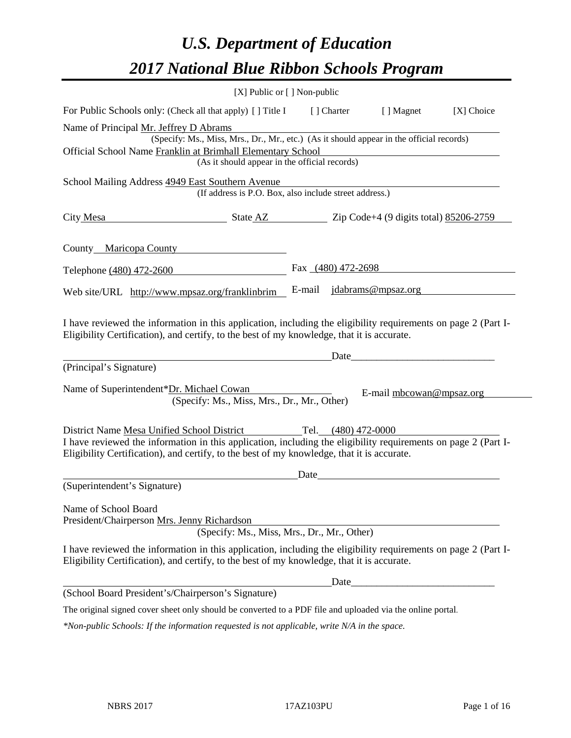# *U.S. Department of Education 2017 National Blue Ribbon Schools Program*

|                                                                                                                                                                                                              | [X] Public or [] Non-public |             |                           |            |
|--------------------------------------------------------------------------------------------------------------------------------------------------------------------------------------------------------------|-----------------------------|-------------|---------------------------|------------|
| For Public Schools only: (Check all that apply) [] Title I                                                                                                                                                   |                             | [ ] Charter | [ ] Magnet                | [X] Choice |
| Name of Principal Mr. Jeffrey D Abrams                                                                                                                                                                       |                             |             |                           |            |
| (Specify: Ms., Miss, Mrs., Dr., Mr., etc.) (As it should appear in the official records)                                                                                                                     |                             |             |                           |            |
| Official School Name Franklin at Brimhall Elementary School                                                                                                                                                  |                             |             |                           |            |
| (As it should appear in the official records)                                                                                                                                                                |                             |             |                           |            |
| School Mailing Address 4949 East Southern Avenue<br>(If address is P.O. Box, also include street address.)                                                                                                   |                             |             |                           |            |
| State AZ Zip Code+4 (9 digits total) 85206-2759<br>City Mesa                                                                                                                                                 |                             |             |                           |            |
| County Maricopa County                                                                                                                                                                                       |                             |             |                           |            |
| Telephone (480) 472-2600                                                                                                                                                                                     |                             |             | Fax $(480)$ 472-2698      |            |
| Web site/URL http://www.mpsaz.org/franklinbrim                                                                                                                                                               |                             |             | E-mail jdabrams@mpsaz.org |            |
| I have reviewed the information in this application, including the eligibility requirements on page 2 (Part I-<br>Eligibility Certification), and certify, to the best of my knowledge, that it is accurate. |                             | Date        |                           |            |
| (Principal's Signature)                                                                                                                                                                                      |                             |             |                           |            |
| Name of Superintendent*Dr. Michael Cowan<br>(Specify: Ms., Miss, Mrs., Dr., Mr., Other)                                                                                                                      |                             |             | E-mail mbcowan@mpsaz.org  |            |
| District Name Mesa Unified School District Tel. (480) 472-0000                                                                                                                                               |                             |             |                           |            |
| I have reviewed the information in this application, including the eligibility requirements on page 2 (Part I-<br>Eligibility Certification), and certify, to the best of my knowledge, that it is accurate. |                             |             |                           |            |
|                                                                                                                                                                                                              | Date                        |             |                           |            |
| (Superintendent's Signature)                                                                                                                                                                                 |                             |             |                           |            |
| Name of School Board                                                                                                                                                                                         |                             |             |                           |            |
| President/Chairperson Mrs. Jenny Richardson                                                                                                                                                                  |                             |             |                           |            |
| (Specify: Ms., Miss, Mrs., Dr., Mr., Other)                                                                                                                                                                  |                             |             |                           |            |
| I have reviewed the information in this application, including the eligibility requirements on page 2 (Part I-<br>Eligibility Certification), and certify, to the best of my knowledge, that it is accurate. |                             |             |                           |            |
|                                                                                                                                                                                                              |                             | Date_       |                           |            |
| (School Board President's/Chairperson's Signature)                                                                                                                                                           |                             |             |                           |            |
| The original signed cover sheet only should be converted to a PDF file and uploaded via the online portal.                                                                                                   |                             |             |                           |            |
| *Non-public Schools: If the information requested is not applicable, write N/A in the space.                                                                                                                 |                             |             |                           |            |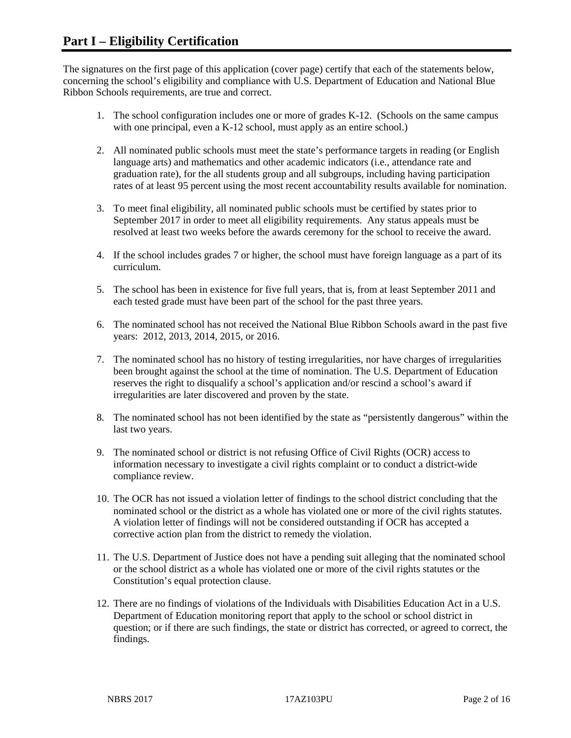The signatures on the first page of this application (cover page) certify that each of the statements below, concerning the school's eligibility and compliance with U.S. Department of Education and National Blue Ribbon Schools requirements, are true and correct.

- 1. The school configuration includes one or more of grades K-12. (Schools on the same campus with one principal, even a K-12 school, must apply as an entire school.)
- 2. All nominated public schools must meet the state's performance targets in reading (or English language arts) and mathematics and other academic indicators (i.e., attendance rate and graduation rate), for the all students group and all subgroups, including having participation rates of at least 95 percent using the most recent accountability results available for nomination.
- 3. To meet final eligibility, all nominated public schools must be certified by states prior to September 2017 in order to meet all eligibility requirements. Any status appeals must be resolved at least two weeks before the awards ceremony for the school to receive the award.
- 4. If the school includes grades 7 or higher, the school must have foreign language as a part of its curriculum.
- 5. The school has been in existence for five full years, that is, from at least September 2011 and each tested grade must have been part of the school for the past three years.
- 6. The nominated school has not received the National Blue Ribbon Schools award in the past five years: 2012, 2013, 2014, 2015, or 2016.
- 7. The nominated school has no history of testing irregularities, nor have charges of irregularities been brought against the school at the time of nomination. The U.S. Department of Education reserves the right to disqualify a school's application and/or rescind a school's award if irregularities are later discovered and proven by the state.
- 8. The nominated school has not been identified by the state as "persistently dangerous" within the last two years.
- 9. The nominated school or district is not refusing Office of Civil Rights (OCR) access to information necessary to investigate a civil rights complaint or to conduct a district-wide compliance review.
- 10. The OCR has not issued a violation letter of findings to the school district concluding that the nominated school or the district as a whole has violated one or more of the civil rights statutes. A violation letter of findings will not be considered outstanding if OCR has accepted a corrective action plan from the district to remedy the violation.
- 11. The U.S. Department of Justice does not have a pending suit alleging that the nominated school or the school district as a whole has violated one or more of the civil rights statutes or the Constitution's equal protection clause.
- 12. There are no findings of violations of the Individuals with Disabilities Education Act in a U.S. Department of Education monitoring report that apply to the school or school district in question; or if there are such findings, the state or district has corrected, or agreed to correct, the findings.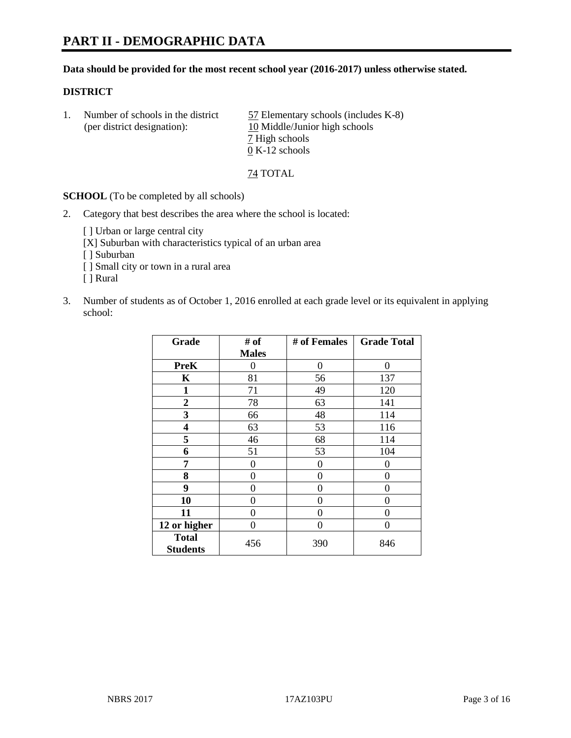#### **Data should be provided for the most recent school year (2016-2017) unless otherwise stated.**

## **DISTRICT**

|  | Number of schools in the district<br>(per district designation): | 57 Elementary schools (includes K-8)<br>10 Middle/Junior high schools |
|--|------------------------------------------------------------------|-----------------------------------------------------------------------|
|  |                                                                  | 7 High schools                                                        |
|  |                                                                  | $0 K-12$ schools                                                      |

74 TOTAL

**SCHOOL** (To be completed by all schools)

2. Category that best describes the area where the school is located:

[] Urban or large central city [X] Suburban with characteristics typical of an urban area

[ ] Suburban

- [ ] Small city or town in a rural area
- [ ] Rural
- 3. Number of students as of October 1, 2016 enrolled at each grade level or its equivalent in applying school:

| Grade                           | # of         | # of Females | <b>Grade Total</b> |
|---------------------------------|--------------|--------------|--------------------|
|                                 | <b>Males</b> |              |                    |
| <b>PreK</b>                     | 0            | 0            | 0                  |
| K                               | 81           | 56           | 137                |
| $\mathbf{1}$                    | 71           | 49           | 120                |
| $\boldsymbol{2}$                | 78           | 63           | 141                |
| 3                               | 66           | 48           | 114                |
| 4                               | 63           | 53           | 116                |
| 5                               | 46           | 68           | 114                |
| 6                               | 51           | 53           | 104                |
| 7                               | 0            | $\theta$     | 0                  |
| 8                               | 0            | $\theta$     | 0                  |
| 9                               | $\theta$     | 0            | 0                  |
| 10                              | 0            | 0            | 0                  |
| 11                              | 0            | 0            | $\Omega$           |
| 12 or higher                    | 0            | 0            | $\theta$           |
| <b>Total</b><br><b>Students</b> | 456          | 390          | 846                |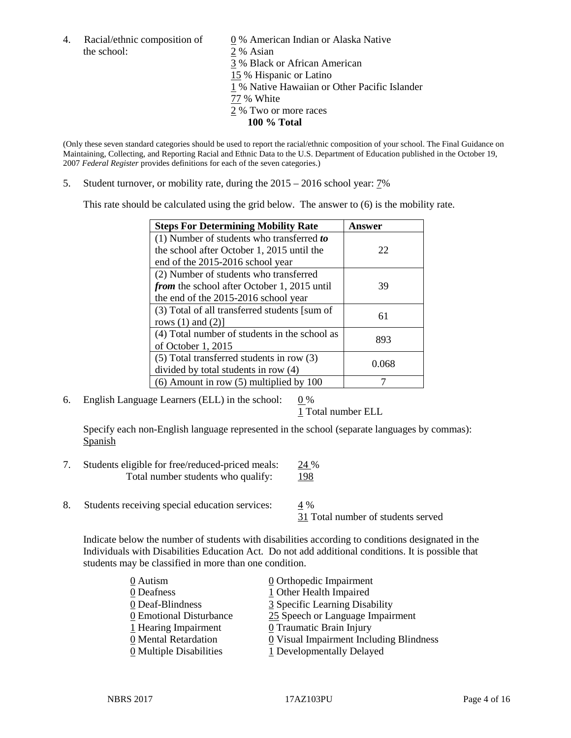the school: 2 % Asian

4. Racial/ethnic composition of  $\qquad 0 \%$  American Indian or Alaska Native 3 % Black or African American 15 % Hispanic or Latino 1 % Native Hawaiian or Other Pacific Islander 77 % White 2 % Two or more races **100 % Total**

(Only these seven standard categories should be used to report the racial/ethnic composition of your school. The Final Guidance on Maintaining, Collecting, and Reporting Racial and Ethnic Data to the U.S. Department of Education published in the October 19, 2007 *Federal Register* provides definitions for each of the seven categories.)

5. Student turnover, or mobility rate, during the 2015 – 2016 school year: 7%

This rate should be calculated using the grid below. The answer to (6) is the mobility rate.

| <b>Steps For Determining Mobility Rate</b>         | Answer |
|----------------------------------------------------|--------|
| (1) Number of students who transferred to          |        |
| the school after October 1, 2015 until the         | 22     |
| end of the 2015-2016 school year                   |        |
| (2) Number of students who transferred             |        |
| <i>from</i> the school after October 1, 2015 until | 39     |
| the end of the 2015-2016 school year               |        |
| (3) Total of all transferred students [sum of      | 61     |
| rows $(1)$ and $(2)$ ]                             |        |
| (4) Total number of students in the school as      | 893    |
| of October 1, 2015                                 |        |
| (5) Total transferred students in row (3)          | 0.068  |
| divided by total students in row (4)               |        |
| $(6)$ Amount in row $(5)$ multiplied by 100        |        |

6. English Language Learners (ELL) in the school:  $0\%$ 

1 Total number ELL

Specify each non-English language represented in the school (separate languages by commas): **Spanish** 

- 7. Students eligible for free/reduced-priced meals: 24 % Total number students who qualify: 198
- 8. Students receiving special education services: 4 %

31 Total number of students served

Indicate below the number of students with disabilities according to conditions designated in the Individuals with Disabilities Education Act. Do not add additional conditions. It is possible that students may be classified in more than one condition.

| 0 Autism                              | $\underline{0}$ Orthopedic Impairment                 |
|---------------------------------------|-------------------------------------------------------|
| 0 Deafness                            | 1 Other Health Impaired                               |
| 0 Deaf-Blindness                      | 3 Specific Learning Disability                        |
| 0 Emotional Disturbance               | 25 Speech or Language Impairment                      |
| 1 Hearing Impairment                  | 0 Traumatic Brain Injury                              |
| 0 Mental Retardation                  | $\underline{0}$ Visual Impairment Including Blindness |
| $\underline{0}$ Multiple Disabilities | 1 Developmentally Delayed                             |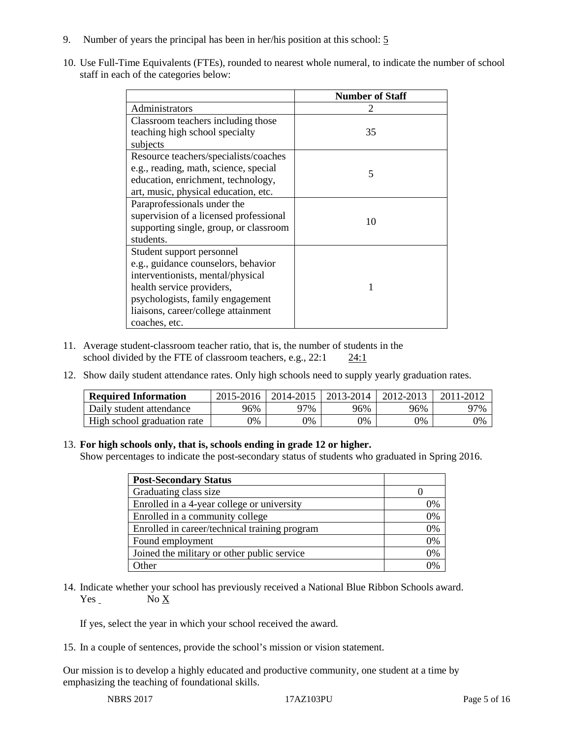- 9. Number of years the principal has been in her/his position at this school: 5
- 10. Use Full-Time Equivalents (FTEs), rounded to nearest whole numeral, to indicate the number of school staff in each of the categories below:

|                                        | <b>Number of Staff</b> |
|----------------------------------------|------------------------|
| Administrators                         |                        |
| Classroom teachers including those     |                        |
| teaching high school specialty         | 35                     |
| subjects                               |                        |
| Resource teachers/specialists/coaches  |                        |
| e.g., reading, math, science, special  | 5                      |
| education, enrichment, technology,     |                        |
| art, music, physical education, etc.   |                        |
| Paraprofessionals under the            |                        |
| supervision of a licensed professional | 10                     |
| supporting single, group, or classroom |                        |
| students.                              |                        |
| Student support personnel              |                        |
| e.g., guidance counselors, behavior    |                        |
| interventionists, mental/physical      |                        |
| health service providers,              |                        |
| psychologists, family engagement       |                        |
| liaisons, career/college attainment    |                        |
| coaches, etc.                          |                        |

- 11. Average student-classroom teacher ratio, that is, the number of students in the school divided by the FTE of classroom teachers, e.g., 22:1 24:1
- 12. Show daily student attendance rates. Only high schools need to supply yearly graduation rates.

| <b>Required Information</b> | 2015-2016 | 2014-2015 | 2013-2014 | 2012-2013 |     |
|-----------------------------|-----------|-----------|-----------|-----------|-----|
| Daily student attendance    | 96%       | 97%       | 96%       | 96%       | 97% |
| High school graduation rate | 0%        | 0%        | 0%        | 9%        | 0%  |

#### 13. **For high schools only, that is, schools ending in grade 12 or higher.**

Show percentages to indicate the post-secondary status of students who graduated in Spring 2016.

| <b>Post-Secondary Status</b>                  |    |
|-----------------------------------------------|----|
| Graduating class size                         |    |
| Enrolled in a 4-year college or university    | 0% |
| Enrolled in a community college               | 0% |
| Enrolled in career/technical training program | 0% |
| Found employment                              | 0% |
| Joined the military or other public service   | 0% |
| )ther                                         | 0/ |

14. Indicate whether your school has previously received a National Blue Ribbon Schools award. Yes No X

If yes, select the year in which your school received the award.

15. In a couple of sentences, provide the school's mission or vision statement.

Our mission is to develop a highly educated and productive community, one student at a time by emphasizing the teaching of foundational skills.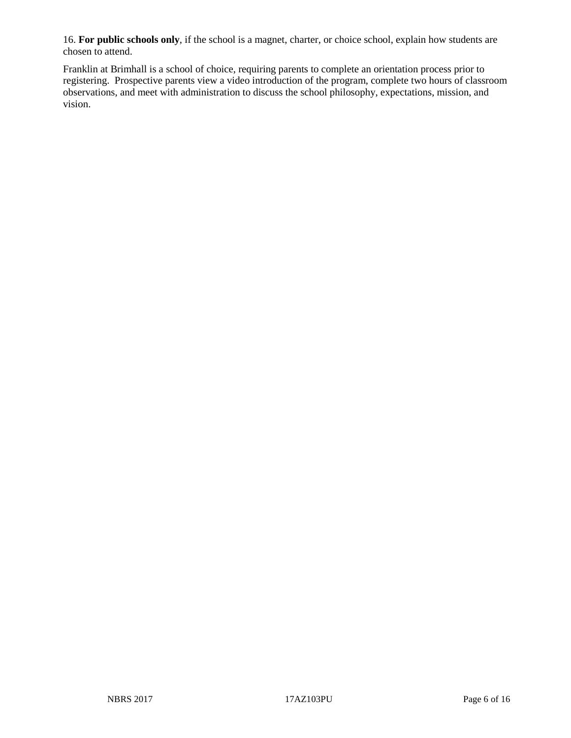16. **For public schools only**, if the school is a magnet, charter, or choice school, explain how students are chosen to attend.

Franklin at Brimhall is a school of choice, requiring parents to complete an orientation process prior to registering. Prospective parents view a video introduction of the program, complete two hours of classroom observations, and meet with administration to discuss the school philosophy, expectations, mission, and vision.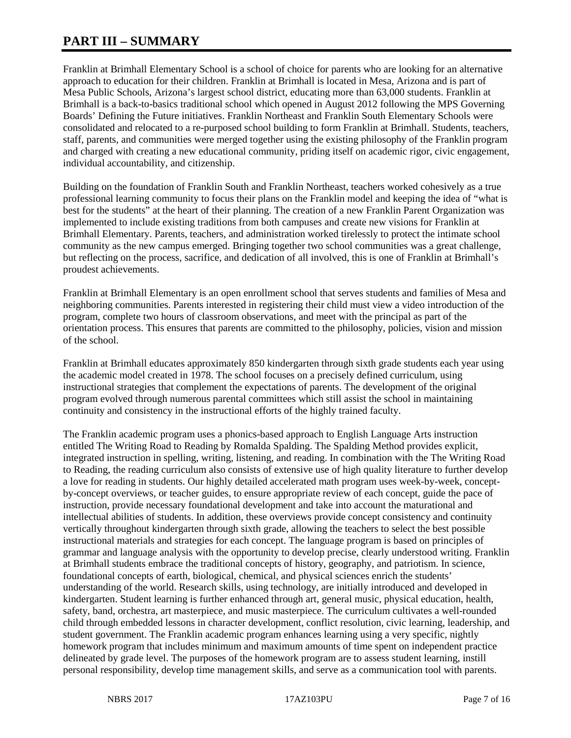# **PART III – SUMMARY**

Franklin at Brimhall Elementary School is a school of choice for parents who are looking for an alternative approach to education for their children. Franklin at Brimhall is located in Mesa, Arizona and is part of Mesa Public Schools, Arizona's largest school district, educating more than 63,000 students. Franklin at Brimhall is a back-to-basics traditional school which opened in August 2012 following the MPS Governing Boards' Defining the Future initiatives. Franklin Northeast and Franklin South Elementary Schools were consolidated and relocated to a re-purposed school building to form Franklin at Brimhall. Students, teachers, staff, parents, and communities were merged together using the existing philosophy of the Franklin program and charged with creating a new educational community, priding itself on academic rigor, civic engagement, individual accountability, and citizenship.

Building on the foundation of Franklin South and Franklin Northeast, teachers worked cohesively as a true professional learning community to focus their plans on the Franklin model and keeping the idea of "what is best for the students" at the heart of their planning. The creation of a new Franklin Parent Organization was implemented to include existing traditions from both campuses and create new visions for Franklin at Brimhall Elementary. Parents, teachers, and administration worked tirelessly to protect the intimate school community as the new campus emerged. Bringing together two school communities was a great challenge, but reflecting on the process, sacrifice, and dedication of all involved, this is one of Franklin at Brimhall's proudest achievements.

Franklin at Brimhall Elementary is an open enrollment school that serves students and families of Mesa and neighboring communities. Parents interested in registering their child must view a video introduction of the program, complete two hours of classroom observations, and meet with the principal as part of the orientation process. This ensures that parents are committed to the philosophy, policies, vision and mission of the school.

Franklin at Brimhall educates approximately 850 kindergarten through sixth grade students each year using the academic model created in 1978. The school focuses on a precisely defined curriculum, using instructional strategies that complement the expectations of parents. The development of the original program evolved through numerous parental committees which still assist the school in maintaining continuity and consistency in the instructional efforts of the highly trained faculty.

The Franklin academic program uses a phonics-based approach to English Language Arts instruction entitled The Writing Road to Reading by Romalda Spalding. The Spalding Method provides explicit, integrated instruction in spelling, writing, listening, and reading. In combination with the The Writing Road to Reading, the reading curriculum also consists of extensive use of high quality literature to further develop a love for reading in students. Our highly detailed accelerated math program uses week-by-week, conceptby-concept overviews, or teacher guides, to ensure appropriate review of each concept, guide the pace of instruction, provide necessary foundational development and take into account the maturational and intellectual abilities of students. In addition, these overviews provide concept consistency and continuity vertically throughout kindergarten through sixth grade, allowing the teachers to select the best possible instructional materials and strategies for each concept. The language program is based on principles of grammar and language analysis with the opportunity to develop precise, clearly understood writing. Franklin at Brimhall students embrace the traditional concepts of history, geography, and patriotism. In science, foundational concepts of earth, biological, chemical, and physical sciences enrich the students' understanding of the world. Research skills, using technology, are initially introduced and developed in kindergarten. Student learning is further enhanced through art, general music, physical education, health, safety, band, orchestra, art masterpiece, and music masterpiece. The curriculum cultivates a well-rounded child through embedded lessons in character development, conflict resolution, civic learning, leadership, and student government. The Franklin academic program enhances learning using a very specific, nightly homework program that includes minimum and maximum amounts of time spent on independent practice delineated by grade level. The purposes of the homework program are to assess student learning, instill personal responsibility, develop time management skills, and serve as a communication tool with parents.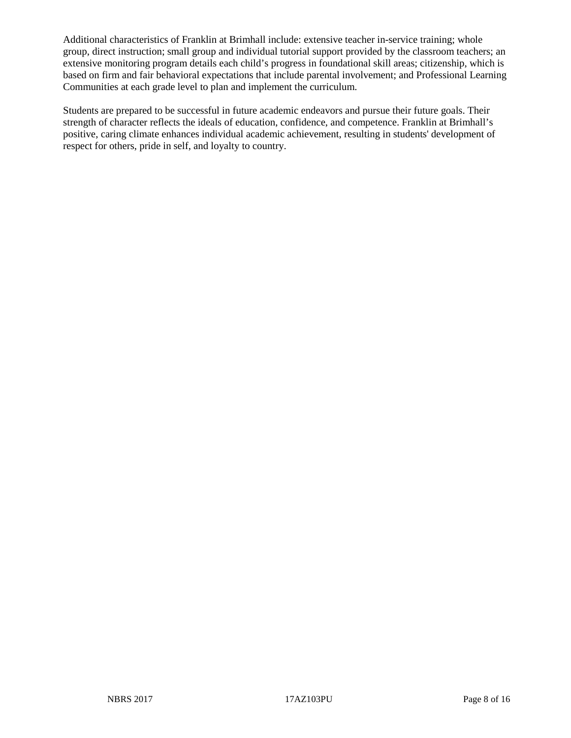Additional characteristics of Franklin at Brimhall include: extensive teacher in-service training; whole group, direct instruction; small group and individual tutorial support provided by the classroom teachers; an extensive monitoring program details each child's progress in foundational skill areas; citizenship, which is based on firm and fair behavioral expectations that include parental involvement; and Professional Learning Communities at each grade level to plan and implement the curriculum.

Students are prepared to be successful in future academic endeavors and pursue their future goals. Their strength of character reflects the ideals of education, confidence, and competence. Franklin at Brimhall's positive, caring climate enhances individual academic achievement, resulting in students' development of respect for others, pride in self, and loyalty to country.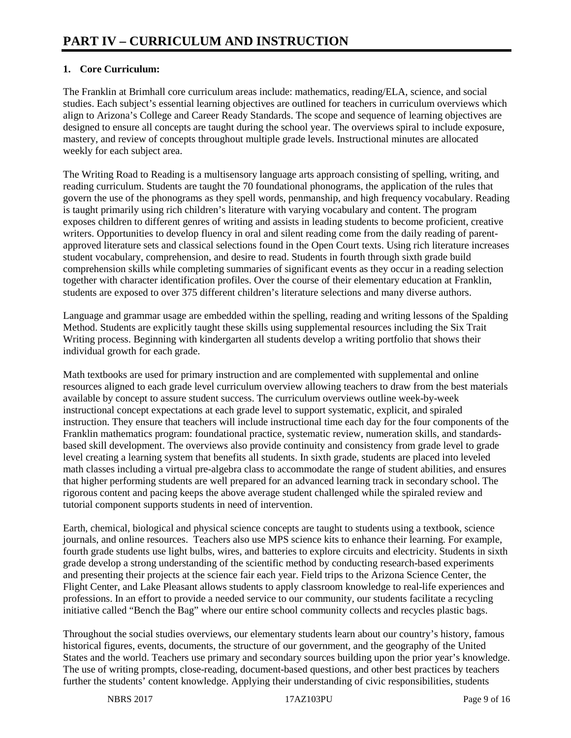# **1. Core Curriculum:**

The Franklin at Brimhall core curriculum areas include: mathematics, reading/ELA, science, and social studies. Each subject's essential learning objectives are outlined for teachers in curriculum overviews which align to Arizona's College and Career Ready Standards. The scope and sequence of learning objectives are designed to ensure all concepts are taught during the school year. The overviews spiral to include exposure, mastery, and review of concepts throughout multiple grade levels. Instructional minutes are allocated weekly for each subject area.

The Writing Road to Reading is a multisensory language arts approach consisting of spelling, writing, and reading curriculum. Students are taught the 70 foundational phonograms, the application of the rules that govern the use of the phonograms as they spell words, penmanship, and high frequency vocabulary. Reading is taught primarily using rich children's literature with varying vocabulary and content. The program exposes children to different genres of writing and assists in leading students to become proficient, creative writers. Opportunities to develop fluency in oral and silent reading come from the daily reading of parentapproved literature sets and classical selections found in the Open Court texts. Using rich literature increases student vocabulary, comprehension, and desire to read. Students in fourth through sixth grade build comprehension skills while completing summaries of significant events as they occur in a reading selection together with character identification profiles. Over the course of their elementary education at Franklin, students are exposed to over 375 different children's literature selections and many diverse authors.

Language and grammar usage are embedded within the spelling, reading and writing lessons of the Spalding Method. Students are explicitly taught these skills using supplemental resources including the Six Trait Writing process. Beginning with kindergarten all students develop a writing portfolio that shows their individual growth for each grade.

Math textbooks are used for primary instruction and are complemented with supplemental and online resources aligned to each grade level curriculum overview allowing teachers to draw from the best materials available by concept to assure student success. The curriculum overviews outline week-by-week instructional concept expectations at each grade level to support systematic, explicit, and spiraled instruction. They ensure that teachers will include instructional time each day for the four components of the Franklin mathematics program: foundational practice, systematic review, numeration skills, and standardsbased skill development. The overviews also provide continuity and consistency from grade level to grade level creating a learning system that benefits all students. In sixth grade, students are placed into leveled math classes including a virtual pre-algebra class to accommodate the range of student abilities, and ensures that higher performing students are well prepared for an advanced learning track in secondary school. The rigorous content and pacing keeps the above average student challenged while the spiraled review and tutorial component supports students in need of intervention.

Earth, chemical, biological and physical science concepts are taught to students using a textbook, science journals, and online resources. Teachers also use MPS science kits to enhance their learning. For example, fourth grade students use light bulbs, wires, and batteries to explore circuits and electricity. Students in sixth grade develop a strong understanding of the scientific method by conducting research-based experiments and presenting their projects at the science fair each year. Field trips to the Arizona Science Center, the Flight Center, and Lake Pleasant allows students to apply classroom knowledge to real-life experiences and professions. In an effort to provide a needed service to our community, our students facilitate a recycling initiative called "Bench the Bag" where our entire school community collects and recycles plastic bags.

Throughout the social studies overviews, our elementary students learn about our country's history, famous historical figures, events, documents, the structure of our government, and the geography of the United States and the world. Teachers use primary and secondary sources building upon the prior year's knowledge. The use of writing prompts, close-reading, document-based questions, and other best practices by teachers further the students' content knowledge. Applying their understanding of civic responsibilities, students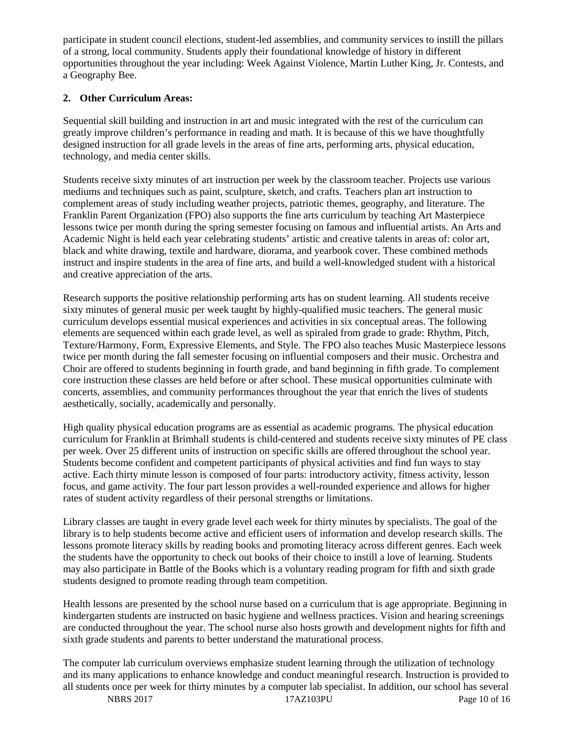participate in student council elections, student-led assemblies, and community services to instill the pillars of a strong, local community. Students apply their foundational knowledge of history in different opportunities throughout the year including: Week Against Violence, Martin Luther King, Jr. Contests, and a Geography Bee.

# **2. Other Curriculum Areas:**

Sequential skill building and instruction in art and music integrated with the rest of the curriculum can greatly improve children's performance in reading and math. It is because of this we have thoughtfully designed instruction for all grade levels in the areas of fine arts, performing arts, physical education, technology, and media center skills.

Students receive sixty minutes of art instruction per week by the classroom teacher. Projects use various mediums and techniques such as paint, sculpture, sketch, and crafts. Teachers plan art instruction to complement areas of study including weather projects, patriotic themes, geography, and literature. The Franklin Parent Organization (FPO) also supports the fine arts curriculum by teaching Art Masterpiece lessons twice per month during the spring semester focusing on famous and influential artists. An Arts and Academic Night is held each year celebrating students' artistic and creative talents in areas of: color art, black and white drawing, textile and hardware, diorama, and yearbook cover. These combined methods instruct and inspire students in the area of fine arts, and build a well-knowledged student with a historical and creative appreciation of the arts.

Research supports the positive relationship performing arts has on student learning. All students receive sixty minutes of general music per week taught by highly-qualified music teachers. The general music curriculum develops essential musical experiences and activities in six conceptual areas. The following elements are sequenced within each grade level, as well as spiraled from grade to grade: Rhythm, Pitch, Texture/Harmony, Form, Expressive Elements, and Style. The FPO also teaches Music Masterpiece lessons twice per month during the fall semester focusing on influential composers and their music. Orchestra and Choir are offered to students beginning in fourth grade, and band beginning in fifth grade. To complement core instruction these classes are held before or after school. These musical opportunities culminate with concerts, assemblies, and community performances throughout the year that enrich the lives of students aesthetically, socially, academically and personally.

High quality physical education programs are as essential as academic programs. The physical education curriculum for Franklin at Brimhall students is child-centered and students receive sixty minutes of PE class per week. Over 25 different units of instruction on specific skills are offered throughout the school year. Students become confident and competent participants of physical activities and find fun ways to stay active. Each thirty minute lesson is composed of four parts: introductory activity, fitness activity, lesson focus, and game activity. The four part lesson provides a well-rounded experience and allows for higher rates of student activity regardless of their personal strengths or limitations.

Library classes are taught in every grade level each week for thirty minutes by specialists. The goal of the library is to help students become active and efficient users of information and develop research skills. The lessons promote literacy skills by reading books and promoting literacy across different genres. Each week the students have the opportunity to check out books of their choice to instill a love of learning. Students may also participate in Battle of the Books which is a voluntary reading program for fifth and sixth grade students designed to promote reading through team competition.

Health lessons are presented by the school nurse based on a curriculum that is age appropriate. Beginning in kindergarten students are instructed on basic hygiene and wellness practices. Vision and hearing screenings are conducted throughout the year. The school nurse also hosts growth and development nights for fifth and sixth grade students and parents to better understand the maturational process.

The computer lab curriculum overviews emphasize student learning through the utilization of technology and its many applications to enhance knowledge and conduct meaningful research. Instruction is provided to all students once per week for thirty minutes by a computer lab specialist. In addition, our school has several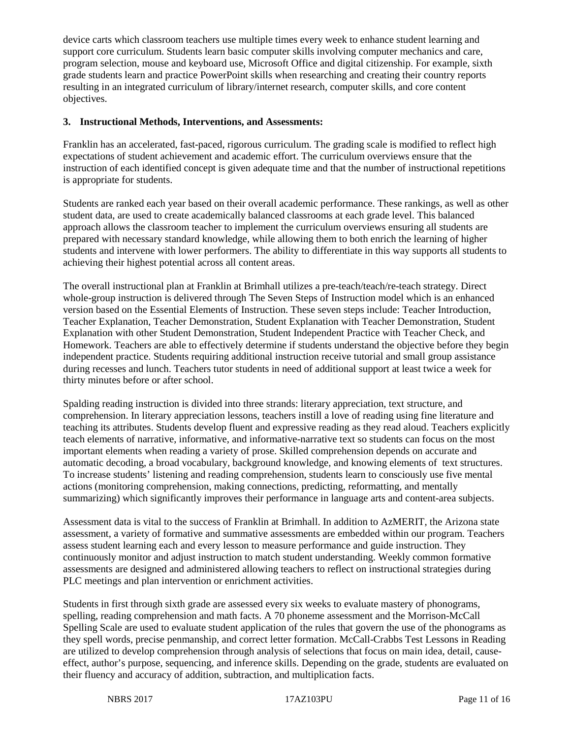device carts which classroom teachers use multiple times every week to enhance student learning and support core curriculum. Students learn basic computer skills involving computer mechanics and care, program selection, mouse and keyboard use, Microsoft Office and digital citizenship. For example, sixth grade students learn and practice PowerPoint skills when researching and creating their country reports resulting in an integrated curriculum of library/internet research, computer skills, and core content objectives.

#### **3. Instructional Methods, Interventions, and Assessments:**

Franklin has an accelerated, fast-paced, rigorous curriculum. The grading scale is modified to reflect high expectations of student achievement and academic effort. The curriculum overviews ensure that the instruction of each identified concept is given adequate time and that the number of instructional repetitions is appropriate for students.

Students are ranked each year based on their overall academic performance. These rankings, as well as other student data, are used to create academically balanced classrooms at each grade level. This balanced approach allows the classroom teacher to implement the curriculum overviews ensuring all students are prepared with necessary standard knowledge, while allowing them to both enrich the learning of higher students and intervene with lower performers. The ability to differentiate in this way supports all students to achieving their highest potential across all content areas.

The overall instructional plan at Franklin at Brimhall utilizes a pre-teach/teach/re-teach strategy. Direct whole-group instruction is delivered through The Seven Steps of Instruction model which is an enhanced version based on the Essential Elements of Instruction. These seven steps include: Teacher Introduction, Teacher Explanation, Teacher Demonstration, Student Explanation with Teacher Demonstration, Student Explanation with other Student Demonstration, Student Independent Practice with Teacher Check, and Homework. Teachers are able to effectively determine if students understand the objective before they begin independent practice. Students requiring additional instruction receive tutorial and small group assistance during recesses and lunch. Teachers tutor students in need of additional support at least twice a week for thirty minutes before or after school.

Spalding reading instruction is divided into three strands: literary appreciation, text structure, and comprehension. In literary appreciation lessons, teachers instill a love of reading using fine literature and teaching its attributes. Students develop fluent and expressive reading as they read aloud. Teachers explicitly teach elements of narrative, informative, and informative-narrative text so students can focus on the most important elements when reading a variety of prose. Skilled comprehension depends on accurate and automatic decoding, a broad vocabulary, background knowledge, and knowing elements of text structures. To increase students' listening and reading comprehension, students learn to consciously use five mental actions (monitoring comprehension, making connections, predicting, reformatting, and mentally summarizing) which significantly improves their performance in language arts and content-area subjects.

Assessment data is vital to the success of Franklin at Brimhall. In addition to AzMERIT, the Arizona state assessment, a variety of formative and summative assessments are embedded within our program. Teachers assess student learning each and every lesson to measure performance and guide instruction. They continuously monitor and adjust instruction to match student understanding. Weekly common formative assessments are designed and administered allowing teachers to reflect on instructional strategies during PLC meetings and plan intervention or enrichment activities.

Students in first through sixth grade are assessed every six weeks to evaluate mastery of phonograms, spelling, reading comprehension and math facts. A 70 phoneme assessment and the Morrison-McCall Spelling Scale are used to evaluate student application of the rules that govern the use of the phonograms as they spell words, precise penmanship, and correct letter formation. McCall-Crabbs Test Lessons in Reading are utilized to develop comprehension through analysis of selections that focus on main idea, detail, causeeffect, author's purpose, sequencing, and inference skills. Depending on the grade, students are evaluated on their fluency and accuracy of addition, subtraction, and multiplication facts.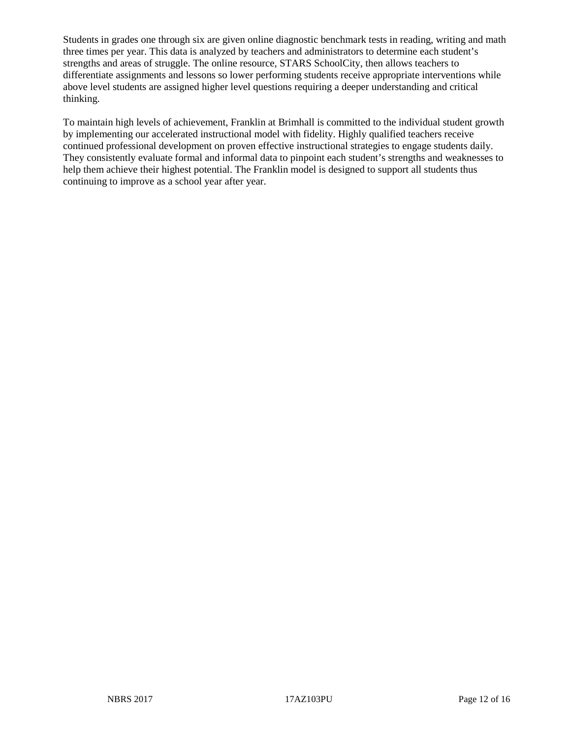Students in grades one through six are given online diagnostic benchmark tests in reading, writing and math three times per year. This data is analyzed by teachers and administrators to determine each student's strengths and areas of struggle. The online resource, STARS SchoolCity, then allows teachers to differentiate assignments and lessons so lower performing students receive appropriate interventions while above level students are assigned higher level questions requiring a deeper understanding and critical thinking.

To maintain high levels of achievement, Franklin at Brimhall is committed to the individual student growth by implementing our accelerated instructional model with fidelity. Highly qualified teachers receive continued professional development on proven effective instructional strategies to engage students daily. They consistently evaluate formal and informal data to pinpoint each student's strengths and weaknesses to help them achieve their highest potential. The Franklin model is designed to support all students thus continuing to improve as a school year after year.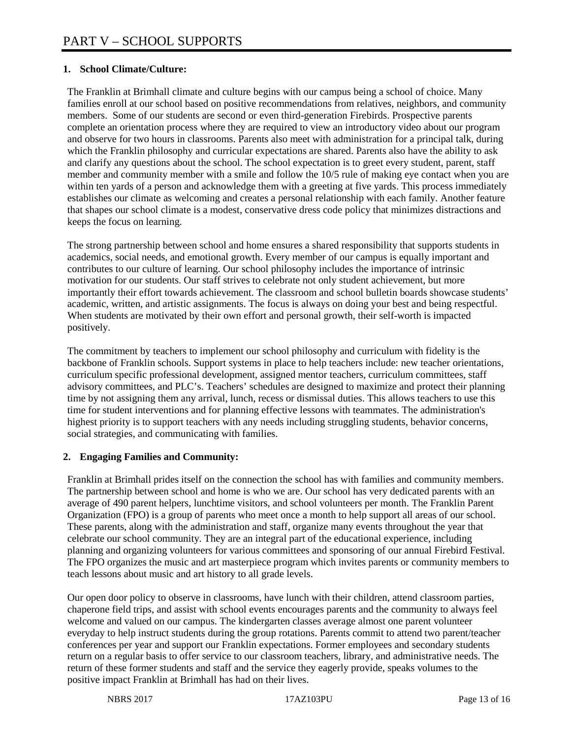## **1. School Climate/Culture:**

The Franklin at Brimhall climate and culture begins with our campus being a school of choice. Many families enroll at our school based on positive recommendations from relatives, neighbors, and community members. Some of our students are second or even third-generation Firebirds. Prospective parents complete an orientation process where they are required to view an introductory video about our program and observe for two hours in classrooms. Parents also meet with administration for a principal talk, during which the Franklin philosophy and curricular expectations are shared. Parents also have the ability to ask and clarify any questions about the school. The school expectation is to greet every student, parent, staff member and community member with a smile and follow the 10/5 rule of making eye contact when you are within ten yards of a person and acknowledge them with a greeting at five yards. This process immediately establishes our climate as welcoming and creates a personal relationship with each family. Another feature that shapes our school climate is a modest, conservative dress code policy that minimizes distractions and keeps the focus on learning.

The strong partnership between school and home ensures a shared responsibility that supports students in academics, social needs, and emotional growth. Every member of our campus is equally important and contributes to our culture of learning. Our school philosophy includes the importance of intrinsic motivation for our students. Our staff strives to celebrate not only student achievement, but more importantly their effort towards achievement. The classroom and school bulletin boards showcase students' academic, written, and artistic assignments. The focus is always on doing your best and being respectful. When students are motivated by their own effort and personal growth, their self-worth is impacted positively.

The commitment by teachers to implement our school philosophy and curriculum with fidelity is the backbone of Franklin schools. Support systems in place to help teachers include: new teacher orientations, curriculum specific professional development, assigned mentor teachers, curriculum committees, staff advisory committees, and PLC's. Teachers' schedules are designed to maximize and protect their planning time by not assigning them any arrival, lunch, recess or dismissal duties. This allows teachers to use this time for student interventions and for planning effective lessons with teammates. The administration's highest priority is to support teachers with any needs including struggling students, behavior concerns, social strategies, and communicating with families.

#### **2. Engaging Families and Community:**

Franklin at Brimhall prides itself on the connection the school has with families and community members. The partnership between school and home is who we are. Our school has very dedicated parents with an average of 490 parent helpers, lunchtime visitors, and school volunteers per month. The Franklin Parent Organization (FPO) is a group of parents who meet once a month to help support all areas of our school. These parents, along with the administration and staff, organize many events throughout the year that celebrate our school community. They are an integral part of the educational experience, including planning and organizing volunteers for various committees and sponsoring of our annual Firebird Festival. The FPO organizes the music and art masterpiece program which invites parents or community members to teach lessons about music and art history to all grade levels.

Our open door policy to observe in classrooms, have lunch with their children, attend classroom parties, chaperone field trips, and assist with school events encourages parents and the community to always feel welcome and valued on our campus. The kindergarten classes average almost one parent volunteer everyday to help instruct students during the group rotations. Parents commit to attend two parent/teacher conferences per year and support our Franklin expectations. Former employees and secondary students return on a regular basis to offer service to our classroom teachers, library, and administrative needs. The return of these former students and staff and the service they eagerly provide, speaks volumes to the positive impact Franklin at Brimhall has had on their lives.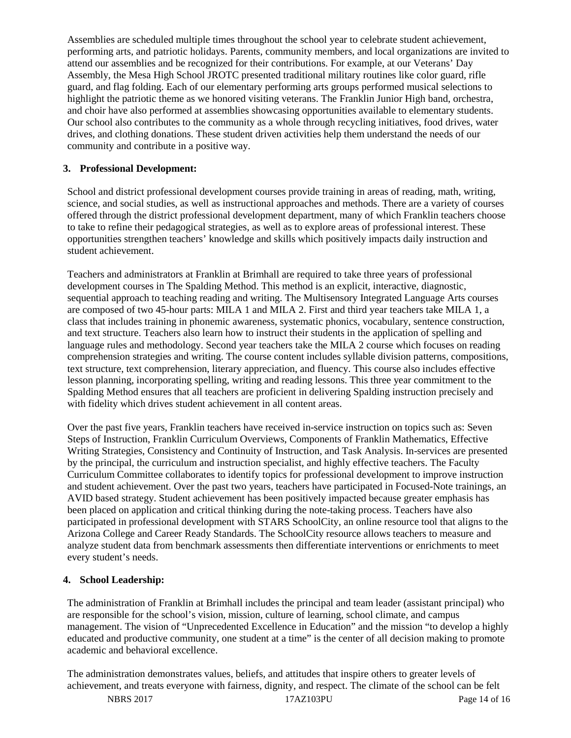Assemblies are scheduled multiple times throughout the school year to celebrate student achievement, performing arts, and patriotic holidays. Parents, community members, and local organizations are invited to attend our assemblies and be recognized for their contributions. For example, at our Veterans' Day Assembly, the Mesa High School JROTC presented traditional military routines like color guard, rifle guard, and flag folding. Each of our elementary performing arts groups performed musical selections to highlight the patriotic theme as we honored visiting veterans. The Franklin Junior High band, orchestra, and choir have also performed at assemblies showcasing opportunities available to elementary students. Our school also contributes to the community as a whole through recycling initiatives, food drives, water drives, and clothing donations. These student driven activities help them understand the needs of our community and contribute in a positive way.

## **3. Professional Development:**

School and district professional development courses provide training in areas of reading, math, writing, science, and social studies, as well as instructional approaches and methods. There are a variety of courses offered through the district professional development department, many of which Franklin teachers choose to take to refine their pedagogical strategies, as well as to explore areas of professional interest. These opportunities strengthen teachers' knowledge and skills which positively impacts daily instruction and student achievement.

Teachers and administrators at Franklin at Brimhall are required to take three years of professional development courses in The Spalding Method. This method is an explicit, interactive, diagnostic, sequential approach to teaching reading and writing. The Multisensory Integrated Language Arts courses are composed of two 45-hour parts: MILA 1 and MILA 2. First and third year teachers take MILA 1, a class that includes training in phonemic awareness, systematic phonics, vocabulary, sentence construction, and text structure. Teachers also learn how to instruct their students in the application of spelling and language rules and methodology. Second year teachers take the MILA 2 course which focuses on reading comprehension strategies and writing. The course content includes syllable division patterns, compositions, text structure, text comprehension, literary appreciation, and fluency. This course also includes effective lesson planning, incorporating spelling, writing and reading lessons. This three year commitment to the Spalding Method ensures that all teachers are proficient in delivering Spalding instruction precisely and with fidelity which drives student achievement in all content areas.

Over the past five years, Franklin teachers have received in-service instruction on topics such as: Seven Steps of Instruction, Franklin Curriculum Overviews, Components of Franklin Mathematics, Effective Writing Strategies, Consistency and Continuity of Instruction, and Task Analysis. In-services are presented by the principal, the curriculum and instruction specialist, and highly effective teachers. The Faculty Curriculum Committee collaborates to identify topics for professional development to improve instruction and student achievement. Over the past two years, teachers have participated in Focused-Note trainings, an AVID based strategy. Student achievement has been positively impacted because greater emphasis has been placed on application and critical thinking during the note-taking process. Teachers have also participated in professional development with STARS SchoolCity, an online resource tool that aligns to the Arizona College and Career Ready Standards. The SchoolCity resource allows teachers to measure and analyze student data from benchmark assessments then differentiate interventions or enrichments to meet every student's needs.

#### **4. School Leadership:**

The administration of Franklin at Brimhall includes the principal and team leader (assistant principal) who are responsible for the school's vision, mission, culture of learning, school climate, and campus management. The vision of "Unprecedented Excellence in Education" and the mission "to develop a highly educated and productive community, one student at a time" is the center of all decision making to promote academic and behavioral excellence.

The administration demonstrates values, beliefs, and attitudes that inspire others to greater levels of achievement, and treats everyone with fairness, dignity, and respect. The climate of the school can be felt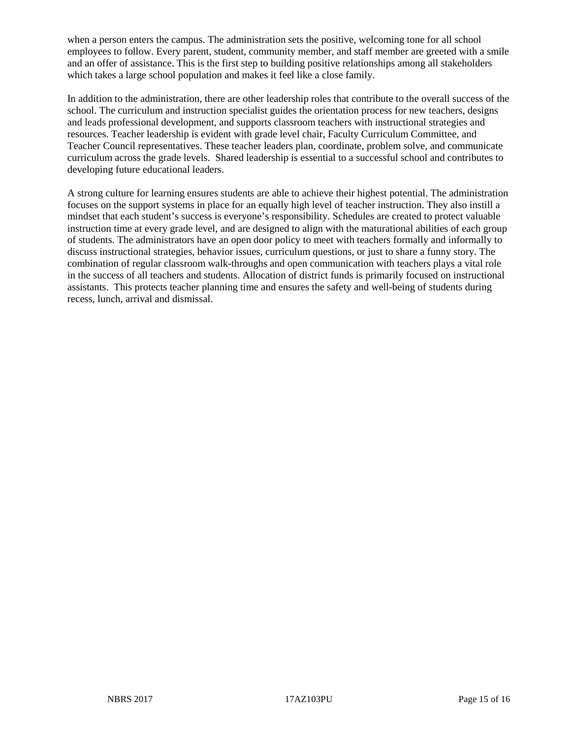when a person enters the campus. The administration sets the positive, welcoming tone for all school employees to follow. Every parent, student, community member, and staff member are greeted with a smile and an offer of assistance. This is the first step to building positive relationships among all stakeholders which takes a large school population and makes it feel like a close family.

In addition to the administration, there are other leadership roles that contribute to the overall success of the school. The curriculum and instruction specialist guides the orientation process for new teachers, designs and leads professional development, and supports classroom teachers with instructional strategies and resources. Teacher leadership is evident with grade level chair, Faculty Curriculum Committee, and Teacher Council representatives. These teacher leaders plan, coordinate, problem solve, and communicate curriculum across the grade levels. Shared leadership is essential to a successful school and contributes to developing future educational leaders.

A strong culture for learning ensures students are able to achieve their highest potential. The administration focuses on the support systems in place for an equally high level of teacher instruction. They also instill a mindset that each student's success is everyone's responsibility. Schedules are created to protect valuable instruction time at every grade level, and are designed to align with the maturational abilities of each group of students. The administrators have an open door policy to meet with teachers formally and informally to discuss instructional strategies, behavior issues, curriculum questions, or just to share a funny story. The combination of regular classroom walk-throughs and open communication with teachers plays a vital role in the success of all teachers and students. Allocation of district funds is primarily focused on instructional assistants. This protects teacher planning time and ensures the safety and well-being of students during recess, lunch, arrival and dismissal.